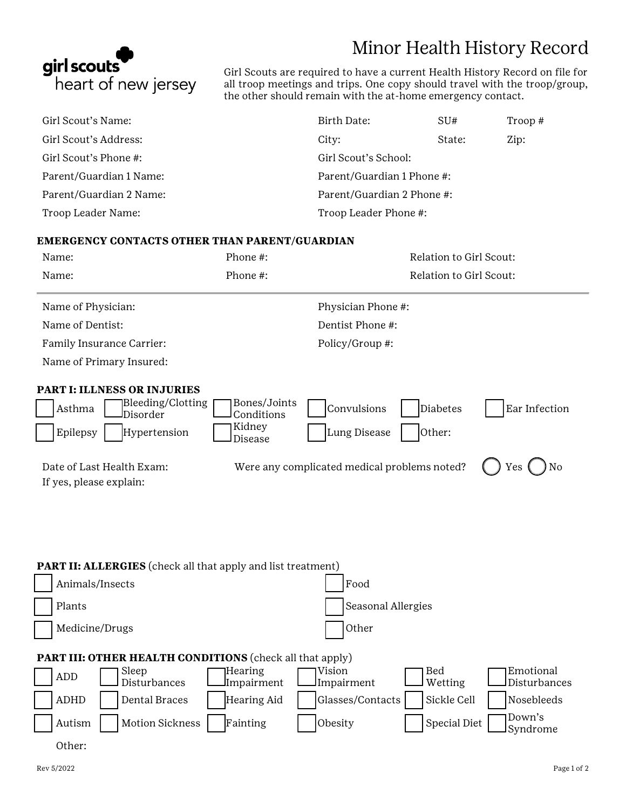# Minor Health History Record



Girl Scouts are required to have a current Health History Record on file for all troop meetings and trips. One copy should travel with the troop/group, the other should remain with the at-home emergency contact.

| Girl Scout's Name:      | Birth Date:                | SU#    | Troop # |
|-------------------------|----------------------------|--------|---------|
| Girl Scout's Address:   | City:                      | State: | Zip:    |
| Girl Scout's Phone #:   | Girl Scout's School:       |        |         |
| Parent/Guardian 1 Name: | Parent/Guardian 1 Phone #: |        |         |
| Parent/Guardian 2 Name: | Parent/Guardian 2 Phone #: |        |         |
| Troop Leader Name:      | Troop Leader Phone #:      |        |         |

### **EMERGENCY CONTACTS OTHER THAN PARENT/GUARDIAN**

| Name:                                                                                                     | Phone #:                                        |                                                          | Relation to Girl Scout: |
|-----------------------------------------------------------------------------------------------------------|-------------------------------------------------|----------------------------------------------------------|-------------------------|
| Name:                                                                                                     | Phone #:                                        |                                                          | Relation to Girl Scout: |
| Name of Physician:                                                                                        |                                                 | Physician Phone #:                                       |                         |
| Name of Dentist:                                                                                          |                                                 | Dentist Phone #:                                         |                         |
| Family Insurance Carrier:                                                                                 |                                                 | Policy/Group #:                                          |                         |
| Name of Primary Insured:                                                                                  |                                                 |                                                          |                         |
| <b>PART I: ILLNESS OR INJURIES</b><br>Bleeding/Clotting<br>Asthma<br>Disorder<br>Epilepsy<br>Hypertension | Bones/Joints<br>Conditions<br>Kidney<br>Disease | Convulsions<br><b>Diabetes</b><br>Lung Disease<br>Other: | Ear Infection           |
| Date of Last Health Exam:                                                                                 |                                                 | Were any complicated medical problems noted?             | No<br>Yes               |

If yes, please explain:

**PART II: ALLERGIES** (check all that apply and list treatment)

| Animals/Insects                                                 | Food                                                                              |  |  |  |  |
|-----------------------------------------------------------------|-----------------------------------------------------------------------------------|--|--|--|--|
| Plants                                                          | Seasonal Allergies                                                                |  |  |  |  |
| Medicine/Drugs                                                  | Other                                                                             |  |  |  |  |
| <b>PART III: OTHER HEALTH CONDITIONS</b> (check all that apply) |                                                                                   |  |  |  |  |
| Sleep<br> Hearing<br>ADD<br>Disturbances                        | Emotional<br>Vision<br>Bed<br>Wetting<br>Impairment<br>Impairment<br>Disturbances |  |  |  |  |
| <b>ADHD</b><br>Dental Braces                                    | Sickle Cell<br>Hearing Aid<br>Glasses/Contacts<br>Nosebleeds                      |  |  |  |  |
| Motion Sickness<br>Fainting<br>Autism                           | Down's<br>Special Diet<br>Obesity<br>Syndrome                                     |  |  |  |  |